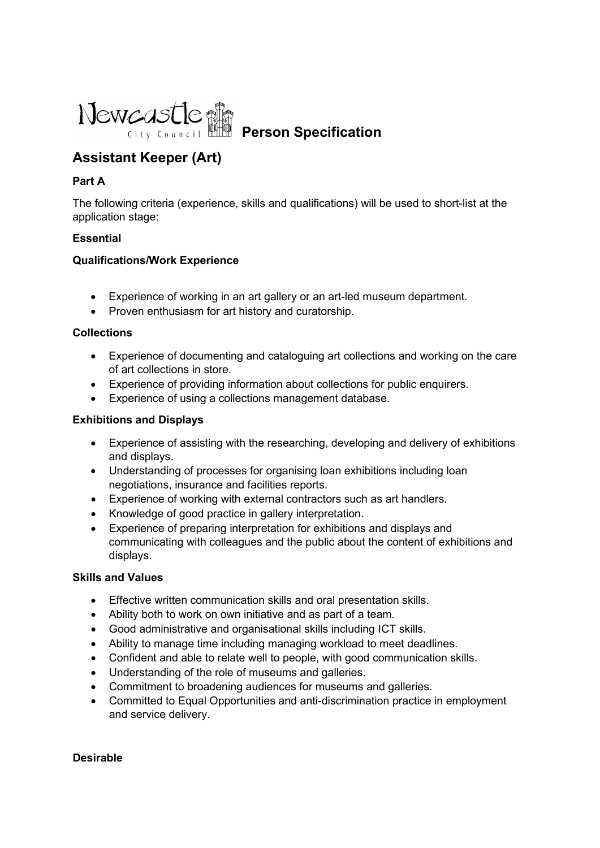

# **Assistant Keeper (Art)**

# **Part A**

The following criteria (experience, skills and qualifications) will be used to short-list at the application stage:

# **Essential**

# **Qualifications/Work Experience**

- Experience of working in an art gallery or an art-led museum department.
- Proven enthusiasm for art history and curatorship.

# **Collections**

- Experience of documenting and cataloguing art collections and working on the care of art collections in store.
- Experience of providing information about collections for public enquirers.
- Experience of using a collections management database.

# **Exhibitions and Displays**

- Experience of assisting with the researching, developing and delivery of exhibitions and displays.
- Understanding of processes for organising loan exhibitions including loan negotiations, insurance and facilities reports.
- Experience of working with external contractors such as art handlers.
- Knowledge of good practice in gallery interpretation.
- Experience of preparing interpretation for exhibitions and displays and communicating with colleagues and the public about the content of exhibitions and displays.

### **Skills and Values**

- Effective written communication skills and oral presentation skills.
- Ability both to work on own initiative and as part of a team.
- Good administrative and organisational skills including ICT skills.
- Ability to manage time including managing workload to meet deadlines.
- Confident and able to relate well to people, with good communication skills.
- Understanding of the role of museums and galleries.
- Commitment to broadening audiences for museums and galleries.
- Committed to Equal Opportunities and anti-discrimination practice in employment and service delivery.

### **Desirable**